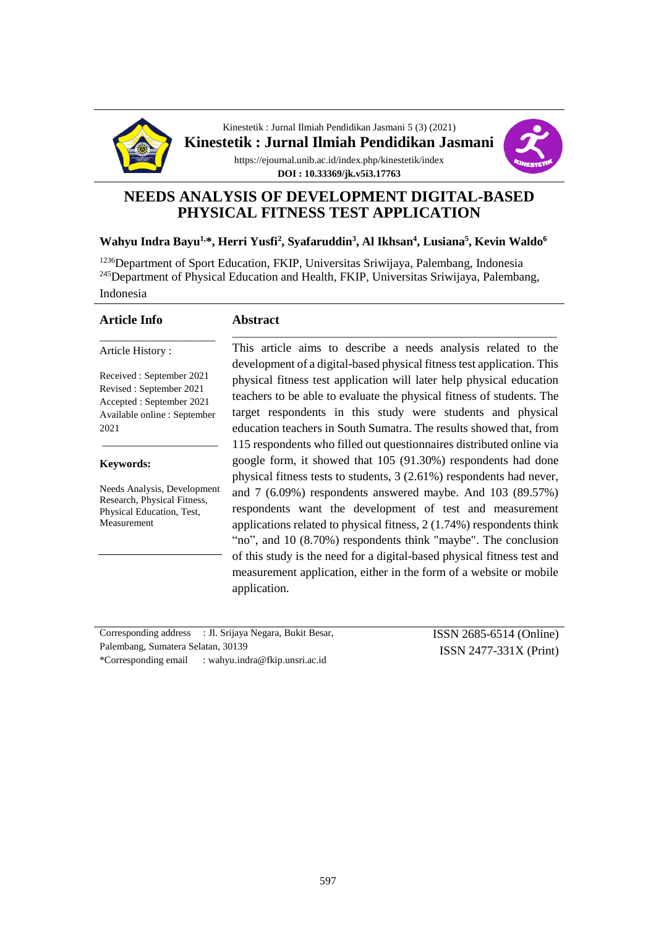

Kinestetik : Jurnal Ilmiah Pendidikan Jasmani 5 (3) (2021) **Kinestetik : Jurnal Ilmiah Pendidikan Jasmani** https://ejournal.unib.ac.id/index.php/kinestetik/index **DOI : 10.33369/jk.v5i3.17763**



# **NEEDS ANALYSIS OF DEVELOPMENT DIGITAL-BASED PHYSICAL FITNESS TEST APPLICATION**

#### **Wahyu Indra Bayu1,\*, Herri Yusfi<sup>2</sup> , Syafaruddin<sup>3</sup> , Al Ikhsan<sup>4</sup> , Lusiana<sup>5</sup> , Kevin Waldo<sup>6</sup>**

<sup>1236</sup>Department of Sport Education, FKIP, Universitas Sriwijaya, Palembang, Indonesia <sup>245</sup>Department of Physical Education and Health, FKIP, Universitas Sriwijaya, Palembang, Indonesia

**Abstract**

| <b>Article Info</b> |  |  |
|---------------------|--|--|
| Article History:    |  |  |

Received : September 2021 Revised : September 2021 Accepted : September 2021 Available online : September 2021

\_\_\_\_\_\_\_\_\_\_\_\_\_\_\_\_\_\_\_\_\_

#### **Keywords:**

Needs Analysis, Development Research, Physical Fitness, Physical Education, Test, Measurement

This article aims to describe a needs analysis related to the development of a digital-based physical fitness test application. This physical fitness test application will later help physical education teachers to be able to evaluate the physical fitness of students. The target respondents in this study were students and physical education teachers in South Sumatra. The results showed that, from 115 respondents who filled out questionnaires distributed online via google form, it showed that 105 (91.30%) respondents had done physical fitness tests to students, 3 (2.61%) respondents had never, and 7 (6.09%) respondents answered maybe. And 103 (89.57%) respondents want the development of test and measurement applications related to physical fitness, 2 (1.74%) respondents think "no", and 10 (8.70%) respondents think "maybe". The conclusion of this study is the need for a digital-based physical fitness test and measurement application, either in the form of a website or mobile application.

\_\_\_\_\_\_\_\_\_\_\_\_\_\_\_\_\_\_\_\_\_\_\_\_\_\_\_\_\_\_\_\_\_\_\_\_\_\_\_\_\_\_\_\_\_\_\_\_\_\_\_\_\_\_\_\_\_\_\_

|                                    | Corresponding address : Jl. Srijaya Negara, Bukit Besar, | ISSN 2685-6514 (Online)  |
|------------------------------------|----------------------------------------------------------|--------------------------|
| Palembang, Sumatera Selatan, 30139 |                                                          | $ISSN 2477-331X (Print)$ |
|                                    | *Corresponding email : wahyu.indra@fkip.unsri.ac.id      |                          |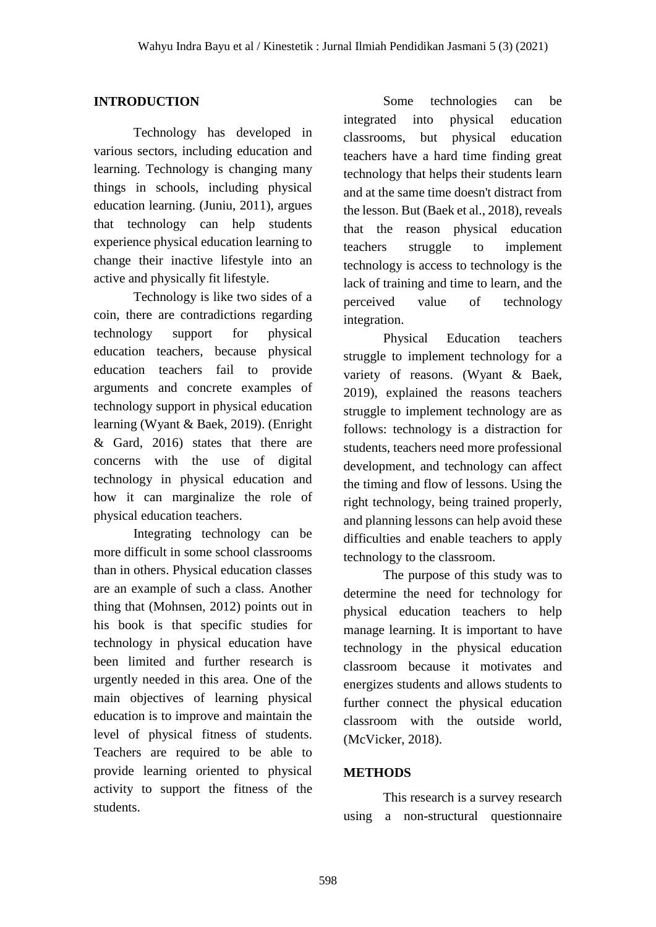# **INTRODUCTION**

Technology has developed in various sectors, including education and learning. Technology is changing many things in schools, including physical education learning. (Juniu, 2011), argues that technology can help students experience physical education learning to change their inactive lifestyle into an active and physically fit lifestyle.

Technology is like two sides of a coin, there are contradictions regarding technology support for physical education teachers, because physical education teachers fail to provide arguments and concrete examples of technology support in physical education learning (Wyant & Baek, 2019). (Enright & Gard, 2016) states that there are concerns with the use of digital technology in physical education and how it can marginalize the role of physical education teachers.

Integrating technology can be more difficult in some school classrooms than in others. Physical education classes are an example of such a class. Another thing that (Mohnsen, 2012) points out in his book is that specific studies for technology in physical education have been limited and further research is urgently needed in this area. One of the main objectives of learning physical education is to improve and maintain the level of physical fitness of students. Teachers are required to be able to provide learning oriented to physical activity to support the fitness of the students.

Some technologies can be integrated into physical education classrooms, but physical education teachers have a hard time finding great technology that helps their students learn and at the same time doesn't distract from the lesson. But (Baek et al., 2018), reveals that the reason physical education teachers struggle to implement technology is access to technology is the lack of training and time to learn, and the perceived value of technology integration.

Physical Education teachers struggle to implement technology for a variety of reasons. (Wyant & Baek, 2019), explained the reasons teachers struggle to implement technology are as follows: technology is a distraction for students, teachers need more professional development, and technology can affect the timing and flow of lessons. Using the right technology, being trained properly, and planning lessons can help avoid these difficulties and enable teachers to apply technology to the classroom.

The purpose of this study was to determine the need for technology for physical education teachers to help manage learning. It is important to have technology in the physical education classroom because it motivates and energizes students and allows students to further connect the physical education classroom with the outside world, (McVicker, 2018).

# **METHODS**

This research is a survey research using a non-structural questionnaire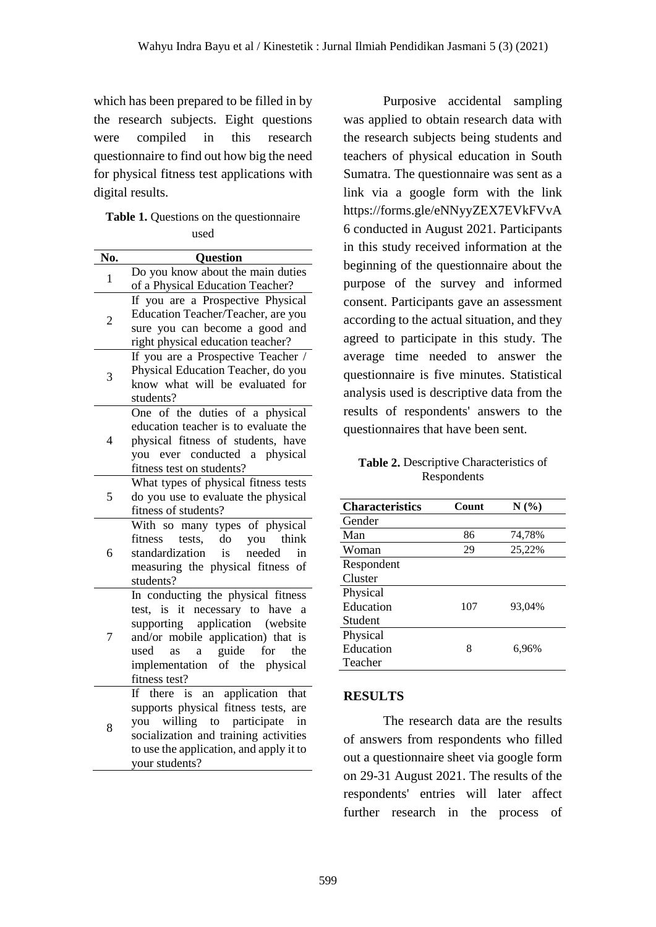which has been prepared to be filled in by the research subjects. Eight questions were compiled in this research questionnaire to find out how big the need for physical fitness test applications with digital results.

#### **Table 1.** Questions on the questionnaire used

| No.            | Question                                                                         |
|----------------|----------------------------------------------------------------------------------|
|                | Do you know about the main duties                                                |
| $\mathbf{1}$   | of a Physical Education Teacher?                                                 |
|                | If you are a Prospective Physical                                                |
| $\overline{c}$ | Education Teacher/Teacher, are you                                               |
|                | sure you can become a good and                                                   |
|                | right physical education teacher?                                                |
|                | If you are a Prospective Teacher /                                               |
| 3              | Physical Education Teacher, do you                                               |
|                | know what will be evaluated for                                                  |
|                | students?                                                                        |
|                | One of the duties of a physical                                                  |
|                | education teacher is to evaluate the                                             |
| 4              | physical fitness of students, have                                               |
|                | you ever conducted a physical                                                    |
|                | fitness test on students?                                                        |
|                | What types of physical fitness tests                                             |
| 5              | do you use to evaluate the physical                                              |
|                | fitness of students?                                                             |
|                | With so many types of physical                                                   |
|                | do<br>tests,<br>you think<br>fitness                                             |
| 6              | is<br>standardization<br>needed<br>in                                            |
|                | measuring the physical fitness<br>of                                             |
|                | students?                                                                        |
|                | In conducting the physical fitness                                               |
|                | test, is it necessary to have a                                                  |
|                | application (website<br>supporting                                               |
| 7              | and/or mobile application) that is                                               |
|                | guide<br>used<br>as<br>for<br>the<br>a                                           |
|                | implementation of the physical                                                   |
|                | fitness test?                                                                    |
| 8              | an application that<br>If there<br>is<br>supports physical fitness tests, are    |
|                | you willing to participate                                                       |
|                | in                                                                               |
|                | socialization and training activities<br>to use the application, and apply it to |
|                |                                                                                  |
|                | your students?                                                                   |

Purposive accidental sampling was applied to obtain research data with the research subjects being students and teachers of physical education in South Sumatra. The questionnaire was sent as a link via a google form with the link https://forms.gle/eNNyyZEX7EVkFVvA 6 conducted in August 2021. Participants in this study received information at the beginning of the questionnaire about the purpose of the survey and informed consent. Participants gave an assessment according to the actual situation, and they agreed to participate in this study. The average time needed to answer the questionnaire is five minutes. Statistical analysis used is descriptive data from the results of respondents' answers to the questionnaires that have been sent.

**Table 2.** Descriptive Characteristics of Respondents

| <b>Characteristics</b> | Count | N(%)   |
|------------------------|-------|--------|
| Gender                 |       |        |
| Man                    | 86    | 74,78% |
| Woman                  | 29    | 25,22% |
| Respondent             |       |        |
| Cluster                |       |        |
| Physical               |       |        |
| Education              | 107   | 93,04% |
| Student                |       |        |
| Physical               |       |        |
| Education              | 8     | 6,96%  |
| Teacher                |       |        |

# **RESULTS**

The research data are the results of answers from respondents who filled out a questionnaire sheet via google form on 29-31 August 2021. The results of the respondents' entries will later affect further research in the process of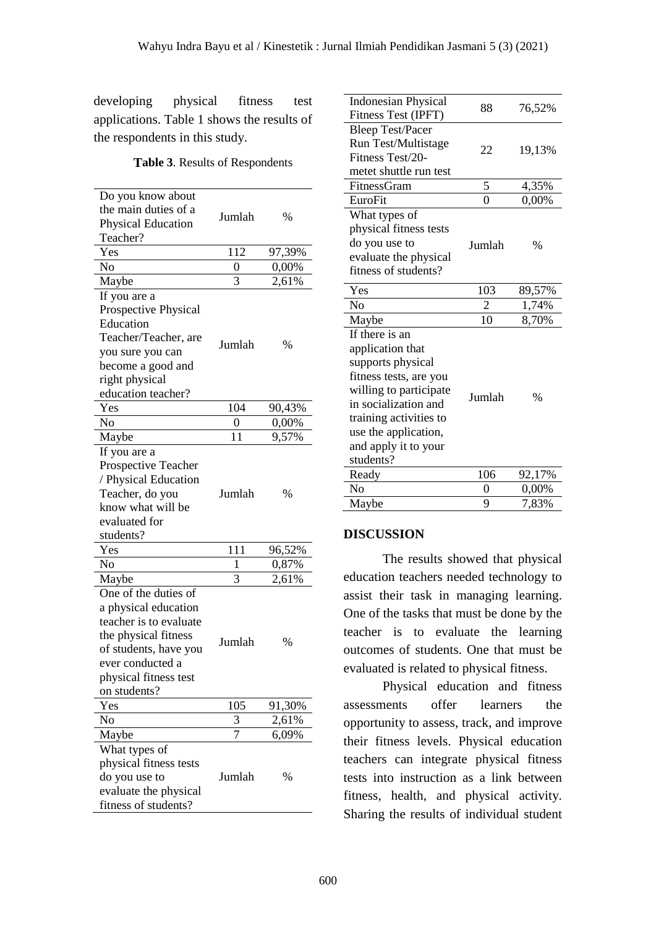developing physical fitness test applications. Table 1 shows the results of the respondents in this study.

**Table 3**. Results of Respondents

| Do you know about<br>the main duties of a<br><b>Physical Education</b><br>Teacher?                                                                                                   | Jumlah | $\%$   |
|--------------------------------------------------------------------------------------------------------------------------------------------------------------------------------------|--------|--------|
| Yes                                                                                                                                                                                  | 112    | 97,39% |
| No                                                                                                                                                                                   | 0      | 0,00%  |
| Maybe                                                                                                                                                                                | 3      | 2,61%  |
| If you are a<br>Prospective Physical<br>Education<br>Teacher/Teacher, are<br>you sure you can<br>become a good and<br>right physical<br>education teacher?                           | Jumlah | $\%$   |
| Yes                                                                                                                                                                                  | 104    | 90,43% |
| No                                                                                                                                                                                   | 0      | 0,00%  |
| Maybe                                                                                                                                                                                | 11     | 9,57%  |
| If you are a<br>Prospective Teacher<br>/ Physical Education<br>Teacher, do you<br>know what will be<br>evaluated for<br>students?                                                    | Jumlah | $\%$   |
| Yes                                                                                                                                                                                  | 111    | 96,52% |
| No                                                                                                                                                                                   | 1      | 0,87%  |
| Maybe                                                                                                                                                                                | 3      | 2,61%  |
| One of the duties of<br>a physical education<br>teacher is to evaluate<br>the physical fitness<br>of students, have you<br>ever conducted a<br>physical fitness test<br>on students? | Jumlah | $\%$   |
| Yes                                                                                                                                                                                  | 105    | 91,30% |
| No                                                                                                                                                                                   | 3      | 2,61%  |
| Maybe                                                                                                                                                                                | 7      | 6,09%  |
| What types of<br>physical fitness tests<br>do you use to<br>evaluate the physical<br>fitness of students?                                                                            | Jumlah | %      |

| <b>Indonesian Physical</b><br>Fitness Test (IPFT)                                                                                                                                                                          | 88             | 76,52% |
|----------------------------------------------------------------------------------------------------------------------------------------------------------------------------------------------------------------------------|----------------|--------|
| <b>Bleep Test/Pacer</b><br>Run Test/Multistage<br>Fitness Test/20-<br>metet shuttle run test                                                                                                                               | 22             | 19,13% |
| FitnessGram                                                                                                                                                                                                                | 5              | 4,35%  |
| EuroFit                                                                                                                                                                                                                    | $\overline{0}$ | 0,00%  |
| What types of<br>physical fitness tests<br>do you use to<br>evaluate the physical<br>fitness of students?                                                                                                                  | Jumlah         | %      |
| Yes                                                                                                                                                                                                                        | 103            | 89,57% |
| No                                                                                                                                                                                                                         | $\overline{c}$ | 1,74%  |
| Maybe                                                                                                                                                                                                                      | 10             | 8,70%  |
| If there is an<br>application that<br>supports physical<br>fitness tests, are you<br>willing to participate<br>in socialization and<br>training activities to<br>use the application,<br>and apply it to your<br>students? | Jumlah         | %      |
| Ready                                                                                                                                                                                                                      | 106            | 92,17% |
| No                                                                                                                                                                                                                         | 0              | 0,00%  |
| Maybe                                                                                                                                                                                                                      | 9              | 7,83%  |

#### **DISCUSSION**

The results showed that physical education teachers needed technology to assist their task in managing learning. One of the tasks that must be done by the teacher is to evaluate the learning outcomes of students. One that must be evaluated is related to physical fitness.

Physical education and fitness assessments offer learners the opportunity to assess, track, and improve their fitness levels. Physical education teachers can integrate physical fitness tests into instruction as a link between fitness, health, and physical activity. Sharing the results of individual student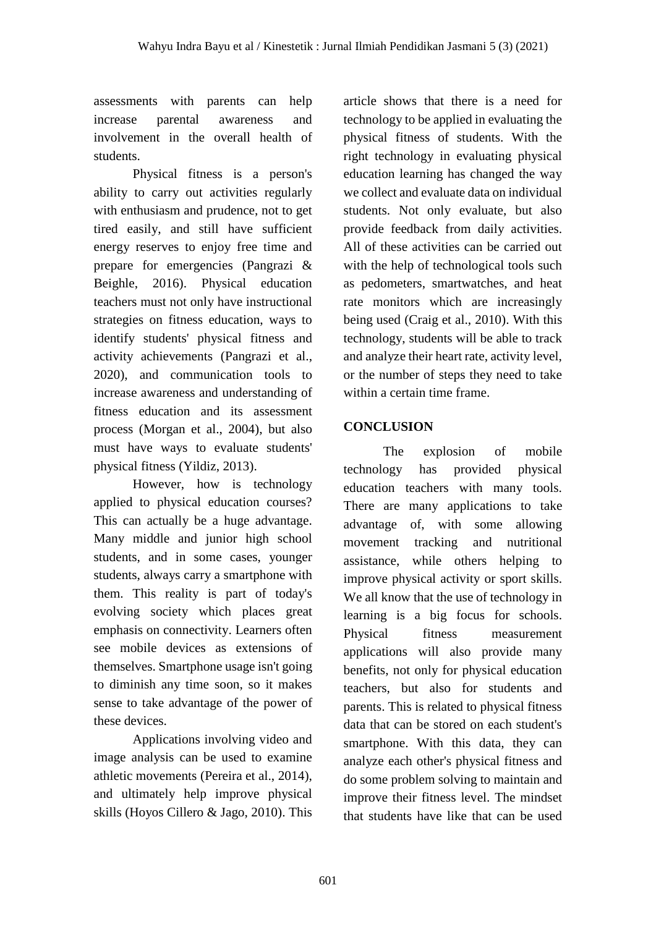assessments with parents can help increase parental awareness and involvement in the overall health of students.

Physical fitness is a person's ability to carry out activities regularly with enthusiasm and prudence, not to get tired easily, and still have sufficient energy reserves to enjoy free time and prepare for emergencies (Pangrazi & Beighle, 2016). Physical education teachers must not only have instructional strategies on fitness education, ways to identify students' physical fitness and activity achievements (Pangrazi et al., 2020), and communication tools to increase awareness and understanding of fitness education and its assessment process (Morgan et al., 2004), but also must have ways to evaluate students' physical fitness (Yildiz, 2013).

However, how is technology applied to physical education courses? This can actually be a huge advantage. Many middle and junior high school students, and in some cases, younger students, always carry a smartphone with them. This reality is part of today's evolving society which places great emphasis on connectivity. Learners often see mobile devices as extensions of themselves. Smartphone usage isn't going to diminish any time soon, so it makes sense to take advantage of the power of these devices.

Applications involving video and image analysis can be used to examine athletic movements (Pereira et al., 2014), and ultimately help improve physical skills (Hoyos Cillero & Jago, 2010). This

article shows that there is a need for technology to be applied in evaluating the physical fitness of students. With the right technology in evaluating physical education learning has changed the way we collect and evaluate data on individual students. Not only evaluate, but also provide feedback from daily activities. All of these activities can be carried out with the help of technological tools such as pedometers, smartwatches, and heat rate monitors which are increasingly being used (Craig et al., 2010). With this technology, students will be able to track and analyze their heart rate, activity level, or the number of steps they need to take within a certain time frame.

# **CONCLUSION**

The explosion of mobile technology has provided physical education teachers with many tools. There are many applications to take advantage of, with some allowing movement tracking and nutritional assistance, while others helping to improve physical activity or sport skills. We all know that the use of technology in learning is a big focus for schools. Physical fitness measurement applications will also provide many benefits, not only for physical education teachers, but also for students and parents. This is related to physical fitness data that can be stored on each student's smartphone. With this data, they can analyze each other's physical fitness and do some problem solving to maintain and improve their fitness level. The mindset that students have like that can be used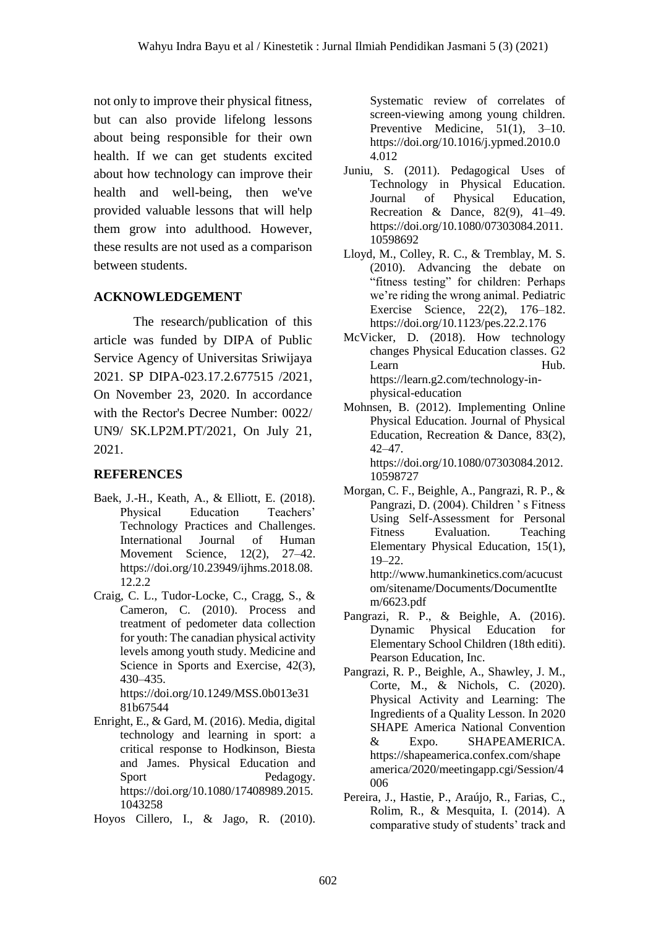not only to improve their physical fitness, but can also provide lifelong lessons about being responsible for their own health. If we can get students excited about how technology can improve their health and well-being, then we've provided valuable lessons that will help them grow into adulthood. However, these results are not used as a comparison between students.

# **ACKNOWLEDGEMENT**

The research/publication of this article was funded by DIPA of Public Service Agency of Universitas Sriwijaya 2021. SP DIPA-023.17.2.677515 /2021, On November 23, 2020. In accordance with the Rector's Decree Number: 0022/ UN9/ SK.LP2M.PT/2021, On July 21, 2021.

# **REFERENCES**

- Baek, J.-H., Keath, A., & Elliott, E. (2018). Physical Education Teachers' Technology Practices and Challenges. International Journal of Human Movement Science, 12(2), 27–42. https://doi.org/10.23949/ijhms.2018.08. 12.2.2
- Craig, C. L., Tudor-Locke, C., Cragg, S., & Cameron, C. (2010). Process and treatment of pedometer data collection for youth: The canadian physical activity levels among youth study. Medicine and Science in Sports and Exercise, 42(3), 430–435.

https://doi.org/10.1249/MSS.0b013e31 81b67544

Enright, E., & Gard, M. (2016). Media, digital technology and learning in sport: a critical response to Hodkinson, Biesta and James. Physical Education and Sport Pedagogy. https://doi.org/10.1080/17408989.2015. 1043258

Hoyos Cillero, I., & Jago, R. (2010).

Systematic review of correlates of screen-viewing among young children. Preventive Medicine, 51(1), 3–10. https://doi.org/10.1016/j.ypmed.2010.0 4.012

- Juniu, S. (2011). Pedagogical Uses of Technology in Physical Education. Journal of Physical Education, Recreation & Dance, 82(9), 41–49. https://doi.org/10.1080/07303084.2011. 10598692
- Lloyd, M., Colley, R. C., & Tremblay, M. S. (2010). Advancing the debate on "fitness testing" for children: Perhaps we're riding the wrong animal. Pediatric Exercise Science, 22(2), 176–182. https://doi.org/10.1123/pes.22.2.176
- McVicker, D. (2018). How technology changes Physical Education classes. G2 Learn Hub. https://learn.g2.com/technology-inphysical-education
- Mohnsen, B. (2012). Implementing Online Physical Education. Journal of Physical Education, Recreation & Dance, 83(2), 42–47. https://doi.org/10.1080/07303084.2012. 10598727
- Morgan, C. F., Beighle, A., Pangrazi, R. P., & Pangrazi, D. (2004). Children ' s Fitness Using Self-Assessment for Personal Fitness Evaluation. Teaching Elementary Physical Education, 15(1), 19–22. http://www.humankinetics.com/acucust om/sitename/Documents/DocumentIte m/6623.pdf
- Pangrazi, R. P., & Beighle, A. (2016). Dynamic Physical Education for Elementary School Children (18th editi). Pearson Education, Inc.
- Pangrazi, R. P., Beighle, A., Shawley, J. M., Corte, M., & Nichols, C. (2020). Physical Activity and Learning: The Ingredients of a Quality Lesson. In 2020 SHAPE America National Convention & Expo. SHAPEAMERICA. https://shapeamerica.confex.com/shape america/2020/meetingapp.cgi/Session/4 006
- Pereira, J., Hastie, P., Araújo, R., Farias, C., Rolim, R., & Mesquita, I. (2014). A comparative study of students' track and